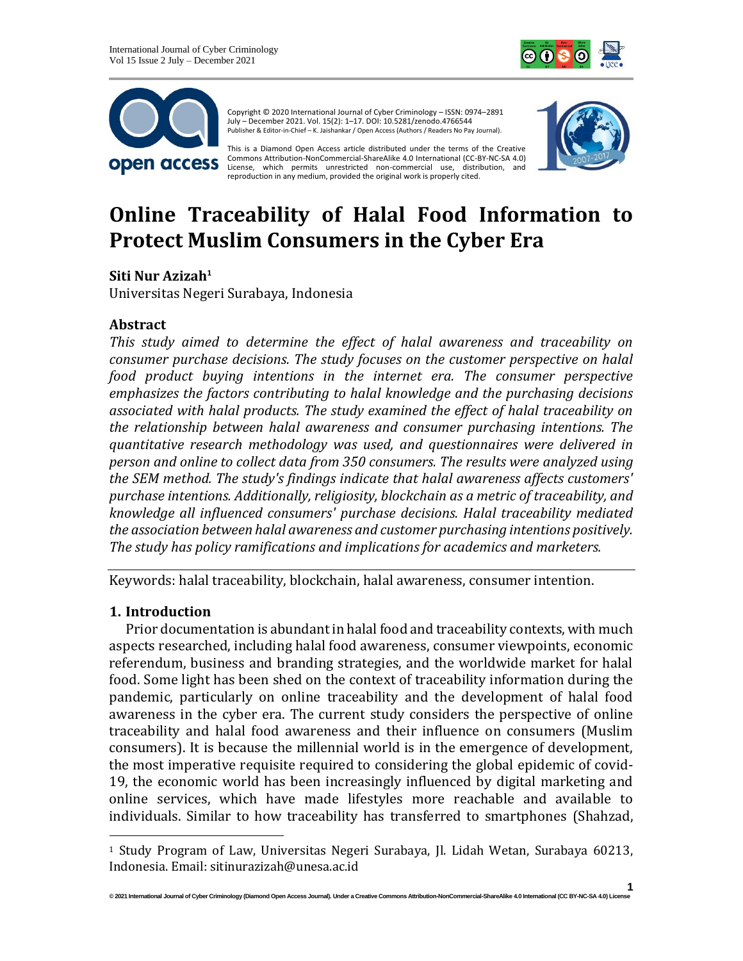



Copyright © 2020 International Journal of Cyber Criminology – ISSN: 0974–2891 July – December 2021. Vol. 15(2): 1–17. DOI: 10.5281/zenodo.4766544 Publisher & Editor-in-Chief – K. Jaishankar / Open Access (Authors / Readers No Pay Journal).

This is a Diamond Open Access article distributed under the terms of the Creative Commons Attribution-NonCommercial-ShareAlike 4.0 International (CC-BY-NC-SA 4.0) License, which permits unrestricted non-commercial use, distribution, and reproduction in any medium, provided the original work is properly cited.



# **Online Traceability of Halal Food Information to Protect Muslim Consumers in the Cyber Era**

**Siti Nur Azizah<sup>1</sup>**

Universitas Negeri Surabaya, Indonesia

## **Abstract**

*This study aimed to determine the effect of halal awareness and traceability on consumer purchase decisions. The study focuses on the customer perspective on halal food product buying intentions in the internet era. The consumer perspective emphasizes the factors contributing to halal knowledge and the purchasing decisions associated with halal products. The study examined the effect of halal traceability on the relationship between halal awareness and consumer purchasing intentions. The quantitative research methodology was used, and questionnaires were delivered in person and online to collect data from 350 consumers. The results were analyzed using the SEM method. The study's findings indicate that halal awareness affects customers' purchase intentions. Additionally, religiosity, blockchain as a metric of traceability, and knowledge all influenced consumers' purchase decisions. Halal traceability mediated the association between halal awareness and customer purchasing intentions positively. The study has policy ramifications and implications for academics and marketers.*

Keywords: halal traceability, blockchain, halal awareness, consumer intention.

#### **1. Introduction**

Prior documentation is abundant in halal food and traceability contexts, with much aspects researched, including halal food awareness, consumer viewpoints, economic referendum, business and branding strategies, and the worldwide market for halal food. Some light has been shed on the context of traceability information during the pandemic, particularly on online traceability and the development of halal food awareness in the cyber era. The current study considers the perspective of online traceability and halal food awareness and their influence on consumers (Muslim consumers). It is because the millennial world is in the emergence of development, the most imperative requisite required to considering the global epidemic of covid-19, the economic world has been increasingly influenced by digital marketing and online services, which have made lifestyles more reachable and available to individuals. Similar to how traceability has transferred to smartphones (Shahzad,

<sup>1</sup> Study Program of Law, Universitas Negeri Surabaya, Jl. Lidah Wetan, Surabaya 60213, Indonesia. Email: sitinurazizah@unesa.ac.id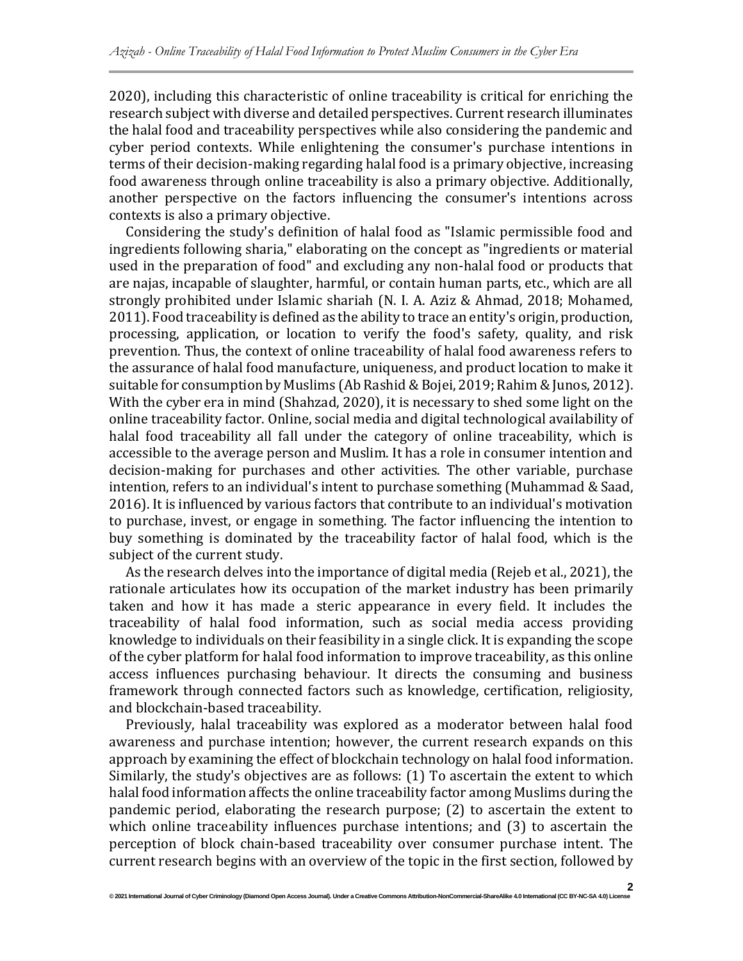2020), including this characteristic of online traceability is critical for enriching the research subject with diverse and detailed perspectives. Current research illuminates the halal food and traceability perspectives while also considering the pandemic and cyber period contexts. While enlightening the consumer's purchase intentions in terms of their decision-making regarding halal food is a primary objective, increasing food awareness through online traceability is also a primary objective. Additionally, another perspective on the factors influencing the consumer's intentions across contexts is also a primary objective.

Considering the study's definition of halal food as "Islamic permissible food and ingredients following sharia," elaborating on the concept as "ingredients or material used in the preparation of food" and excluding any non-halal food or products that are najas, incapable of slaughter, harmful, or contain human parts, etc., which are all strongly prohibited under Islamic shariah (N. I. A. Aziz & Ahmad, 2018; Mohamed, 2011). Food traceability is defined as the ability to trace an entity's origin, production, processing, application, or location to verify the food's safety, quality, and risk prevention. Thus, the context of online traceability of halal food awareness refers to the assurance of halal food manufacture, uniqueness, and product location to make it suitable for consumption by Muslims (Ab Rashid & Bojei, 2019; Rahim & Junos, 2012). With the cyber era in mind (Shahzad, 2020), it is necessary to shed some light on the online traceability factor. Online, social media and digital technological availability of halal food traceability all fall under the category of online traceability, which is accessible to the average person and Muslim. It has a role in consumer intention and decision-making for purchases and other activities. The other variable, purchase intention, refers to an individual's intent to purchase something (Muhammad & Saad, 2016). It is influenced by various factors that contribute to an individual's motivation to purchase, invest, or engage in something. The factor influencing the intention to buy something is dominated by the traceability factor of halal food, which is the subject of the current study.

As the research delves into the importance of digital media (Rejeb et al., 2021), the rationale articulates how its occupation of the market industry has been primarily taken and how it has made a steric appearance in every field. It includes the traceability of halal food information, such as social media access providing knowledge to individuals on their feasibility in a single click. It is expanding the scope of the cyber platform for halal food information to improve traceability, as this online access influences purchasing behaviour. It directs the consuming and business framework through connected factors such as knowledge, certification, religiosity, and blockchain-based traceability.

Previously, halal traceability was explored as a moderator between halal food awareness and purchase intention; however, the current research expands on this approach by examining the effect of blockchain technology on halal food information. Similarly, the study's objectives are as follows: (1) To ascertain the extent to which halal food information affects the online traceability factor among Muslims during the pandemic period, elaborating the research purpose; (2) to ascertain the extent to which online traceability influences purchase intentions; and (3) to ascertain the perception of block chain-based traceability over consumer purchase intent. The current research begins with an overview of the topic in the first section, followed by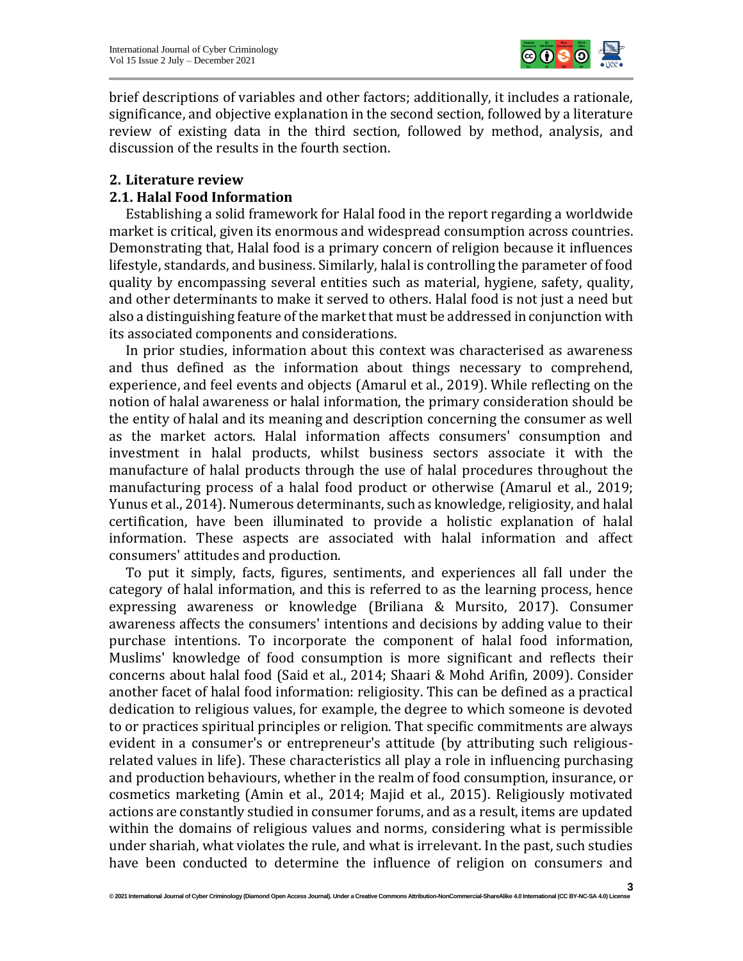

brief descriptions of variables and other factors; additionally, it includes a rationale, significance, and objective explanation in the second section, followed by a literature review of existing data in the third section, followed by method, analysis, and discussion of the results in the fourth section.

## **2. Literature review**

## **2.1. Halal Food Information**

Establishing a solid framework for Halal food in the report regarding a worldwide market is critical, given its enormous and widespread consumption across countries. Demonstrating that, Halal food is a primary concern of religion because it influences lifestyle, standards, and business. Similarly, halal is controlling the parameter of food quality by encompassing several entities such as material, hygiene, safety, quality, and other determinants to make it served to others. Halal food is not just a need but also a distinguishing feature of the market that must be addressed in conjunction with its associated components and considerations.

In prior studies, information about this context was characterised as awareness and thus defined as the information about things necessary to comprehend, experience, and feel events and objects (Amarul et al., 2019). While reflecting on the notion of halal awareness or halal information, the primary consideration should be the entity of halal and its meaning and description concerning the consumer as well as the market actors. Halal information affects consumers' consumption and investment in halal products, whilst business sectors associate it with the manufacture of halal products through the use of halal procedures throughout the manufacturing process of a halal food product or otherwise (Amarul et al., 2019; Yunus et al., 2014). Numerous determinants, such as knowledge, religiosity, and halal certification, have been illuminated to provide a holistic explanation of halal information. These aspects are associated with halal information and affect consumers' attitudes and production.

To put it simply, facts, figures, sentiments, and experiences all fall under the category of halal information, and this is referred to as the learning process, hence expressing awareness or knowledge (Briliana & Mursito, 2017). Consumer awareness affects the consumers' intentions and decisions by adding value to their purchase intentions. To incorporate the component of halal food information, Muslims' knowledge of food consumption is more significant and reflects their concerns about halal food (Said et al., 2014; Shaari & Mohd Arifin, 2009). Consider another facet of halal food information: religiosity. This can be defined as a practical dedication to religious values, for example, the degree to which someone is devoted to or practices spiritual principles or religion. That specific commitments are always evident in a consumer's or entrepreneur's attitude (by attributing such religiousrelated values in life). These characteristics all play a role in influencing purchasing and production behaviours, whether in the realm of food consumption, insurance, or cosmetics marketing (Amin et al., 2014; Majid et al., 2015). Religiously motivated actions are constantly studied in consumer forums, and as a result, items are updated within the domains of religious values and norms, considering what is permissible under shariah, what violates the rule, and what is irrelevant. In the past, such studies have been conducted to determine the influence of religion on consumers and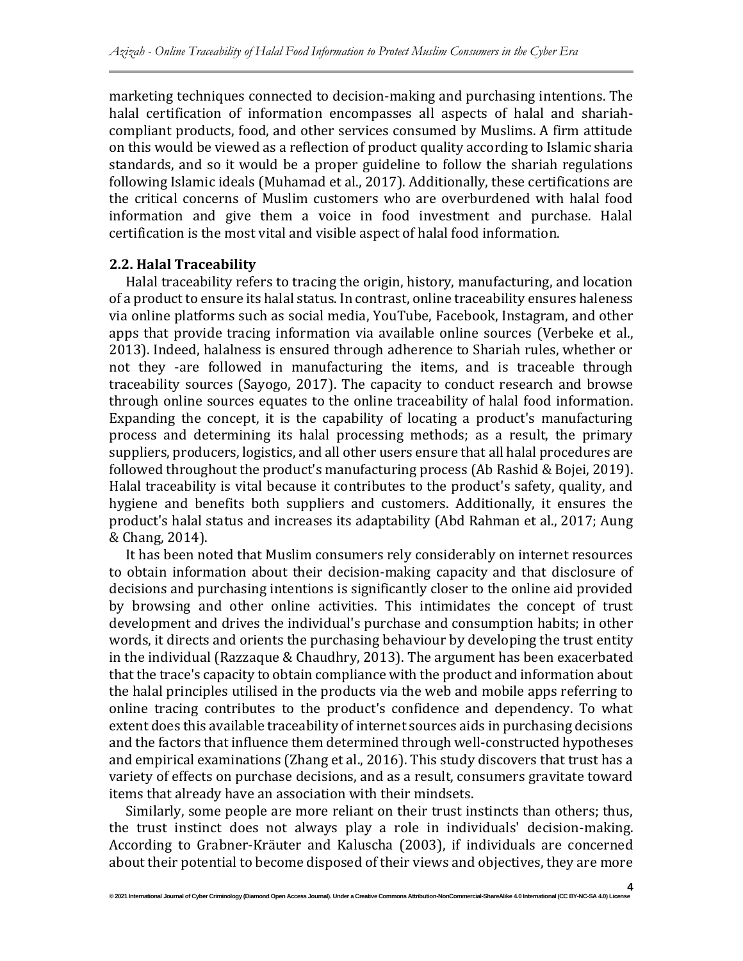marketing techniques connected to decision-making and purchasing intentions. The halal certification of information encompasses all aspects of halal and shariahcompliant products, food, and other services consumed by Muslims. A firm attitude on this would be viewed as a reflection of product quality according to Islamic sharia standards, and so it would be a proper guideline to follow the shariah regulations following Islamic ideals (Muhamad et al., 2017). Additionally, these certifications are the critical concerns of Muslim customers who are overburdened with halal food information and give them a voice in food investment and purchase. Halal certification is the most vital and visible aspect of halal food information.

#### **2.2. Halal Traceability**

Halal traceability refers to tracing the origin, history, manufacturing, and location of a product to ensure its halal status. In contrast, online traceability ensures haleness via online platforms such as social media, YouTube, Facebook, Instagram, and other apps that provide tracing information via available online sources (Verbeke et al., 2013). Indeed, halalness is ensured through adherence to Shariah rules, whether or not they -are followed in manufacturing the items, and is traceable through traceability sources (Sayogo, 2017). The capacity to conduct research and browse through online sources equates to the online traceability of halal food information. Expanding the concept, it is the capability of locating a product's manufacturing process and determining its halal processing methods; as a result, the primary suppliers, producers, logistics, and all other users ensure that all halal procedures are followed throughout the product's manufacturing process (Ab Rashid & Bojei, 2019). Halal traceability is vital because it contributes to the product's safety, quality, and hygiene and benefits both suppliers and customers. Additionally, it ensures the product's halal status and increases its adaptability (Abd Rahman et al., 2017; Aung & Chang, 2014).

It has been noted that Muslim consumers rely considerably on internet resources to obtain information about their decision-making capacity and that disclosure of decisions and purchasing intentions is significantly closer to the online aid provided by browsing and other online activities. This intimidates the concept of trust development and drives the individual's purchase and consumption habits; in other words, it directs and orients the purchasing behaviour by developing the trust entity in the individual (Razzaque & Chaudhry, 2013). The argument has been exacerbated that the trace's capacity to obtain compliance with the product and information about the halal principles utilised in the products via the web and mobile apps referring to online tracing contributes to the product's confidence and dependency. To what extent does this available traceability of internet sources aids in purchasing decisions and the factors that influence them determined through well-constructed hypotheses and empirical examinations (Zhang et al., 2016). This study discovers that trust has a variety of effects on purchase decisions, and as a result, consumers gravitate toward items that already have an association with their mindsets.

Similarly, some people are more reliant on their trust instincts than others; thus, the trust instinct does not always play a role in individuals' decision-making. According to Grabner-Kräuter and Kaluscha (2003), if individuals are concerned about their potential to become disposed of their views and objectives, they are more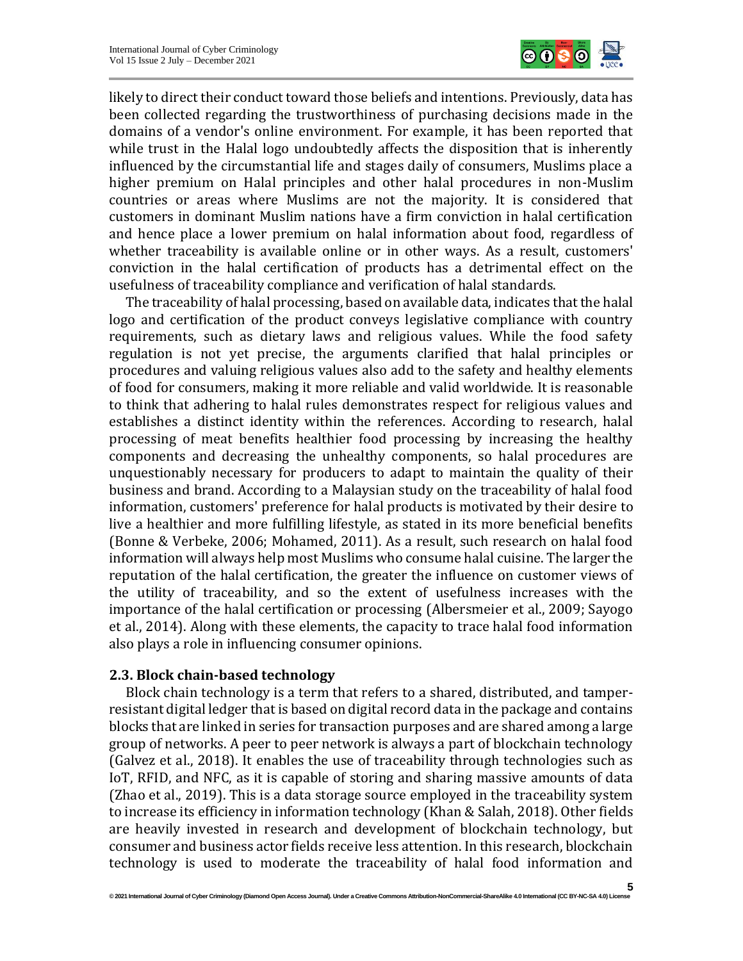

likely to direct their conduct toward those beliefs and intentions. Previously, data has been collected regarding the trustworthiness of purchasing decisions made in the domains of a vendor's online environment. For example, it has been reported that while trust in the Halal logo undoubtedly affects the disposition that is inherently influenced by the circumstantial life and stages daily of consumers, Muslims place a higher premium on Halal principles and other halal procedures in non-Muslim countries or areas where Muslims are not the majority. It is considered that customers in dominant Muslim nations have a firm conviction in halal certification and hence place a lower premium on halal information about food, regardless of whether traceability is available online or in other ways. As a result, customers' conviction in the halal certification of products has a detrimental effect on the usefulness of traceability compliance and verification of halal standards.

The traceability of halal processing, based on available data, indicates that the halal logo and certification of the product conveys legislative compliance with country requirements, such as dietary laws and religious values. While the food safety regulation is not yet precise, the arguments clarified that halal principles or procedures and valuing religious values also add to the safety and healthy elements of food for consumers, making it more reliable and valid worldwide. It is reasonable to think that adhering to halal rules demonstrates respect for religious values and establishes a distinct identity within the references. According to research, halal processing of meat benefits healthier food processing by increasing the healthy components and decreasing the unhealthy components, so halal procedures are unquestionably necessary for producers to adapt to maintain the quality of their business and brand. According to a Malaysian study on the traceability of halal food information, customers' preference for halal products is motivated by their desire to live a healthier and more fulfilling lifestyle, as stated in its more beneficial benefits (Bonne & Verbeke, 2006; Mohamed, 2011). As a result, such research on halal food information will always help most Muslims who consume halal cuisine. The larger the reputation of the halal certification, the greater the influence on customer views of the utility of traceability, and so the extent of usefulness increases with the importance of the halal certification or processing (Albersmeier et al., 2009; Sayogo et al., 2014). Along with these elements, the capacity to trace halal food information also plays a role in influencing consumer opinions.

#### **2.3. Block chain-based technology**

Block chain technology is a term that refers to a shared, distributed, and tamperresistant digital ledger that is based on digital record data in the package and contains blocks that are linked in series for transaction purposes and are shared among a large group of networks. A peer to peer network is always a part of blockchain technology (Galvez et al., 2018). It enables the use of traceability through technologies such as IoT, RFID, and NFC, as it is capable of storing and sharing massive amounts of data (Zhao et al., 2019). This is a data storage source employed in the traceability system to increase its efficiency in information technology (Khan & Salah, 2018). Other fields are heavily invested in research and development of blockchain technology, but consumer and business actor fields receive less attention. In this research, blockchain technology is used to moderate the traceability of halal food information and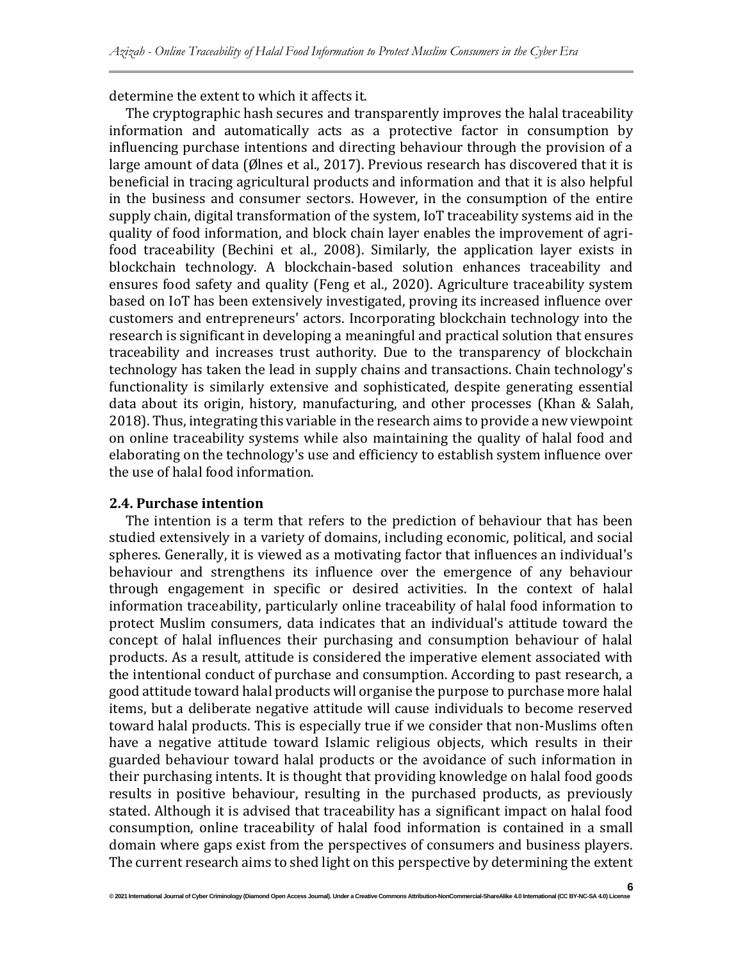determine the extent to which it affects it.

The cryptographic hash secures and transparently improves the halal traceability information and automatically acts as a protective factor in consumption by influencing purchase intentions and directing behaviour through the provision of a large amount of data (Ølnes et al., 2017). Previous research has discovered that it is beneficial in tracing agricultural products and information and that it is also helpful in the business and consumer sectors. However, in the consumption of the entire supply chain, digital transformation of the system, IoT traceability systems aid in the quality of food information, and block chain layer enables the improvement of agrifood traceability (Bechini et al., 2008). Similarly, the application layer exists in blockchain technology. A blockchain-based solution enhances traceability and ensures food safety and quality (Feng et al., 2020). Agriculture traceability system based on IoT has been extensively investigated, proving its increased influence over customers and entrepreneurs' actors. Incorporating blockchain technology into the research is significant in developing a meaningful and practical solution that ensures traceability and increases trust authority. Due to the transparency of blockchain technology has taken the lead in supply chains and transactions. Chain technology's functionality is similarly extensive and sophisticated, despite generating essential data about its origin, history, manufacturing, and other processes (Khan & Salah, 2018). Thus, integrating this variable in the research aims to provide a new viewpoint on online traceability systems while also maintaining the quality of halal food and elaborating on the technology's use and efficiency to establish system influence over the use of halal food information.

#### **2.4. Purchase intention**

The intention is a term that refers to the prediction of behaviour that has been studied extensively in a variety of domains, including economic, political, and social spheres. Generally, it is viewed as a motivating factor that influences an individual's behaviour and strengthens its influence over the emergence of any behaviour through engagement in specific or desired activities. In the context of halal information traceability, particularly online traceability of halal food information to protect Muslim consumers, data indicates that an individual's attitude toward the concept of halal influences their purchasing and consumption behaviour of halal products. As a result, attitude is considered the imperative element associated with the intentional conduct of purchase and consumption. According to past research, a good attitude toward halal products will organise the purpose to purchase more halal items, but a deliberate negative attitude will cause individuals to become reserved toward halal products. This is especially true if we consider that non-Muslims often have a negative attitude toward Islamic religious objects, which results in their guarded behaviour toward halal products or the avoidance of such information in their purchasing intents. It is thought that providing knowledge on halal food goods results in positive behaviour, resulting in the purchased products, as previously stated. Although it is advised that traceability has a significant impact on halal food consumption, online traceability of halal food information is contained in a small domain where gaps exist from the perspectives of consumers and business players. The current research aims to shed light on this perspective by determining the extent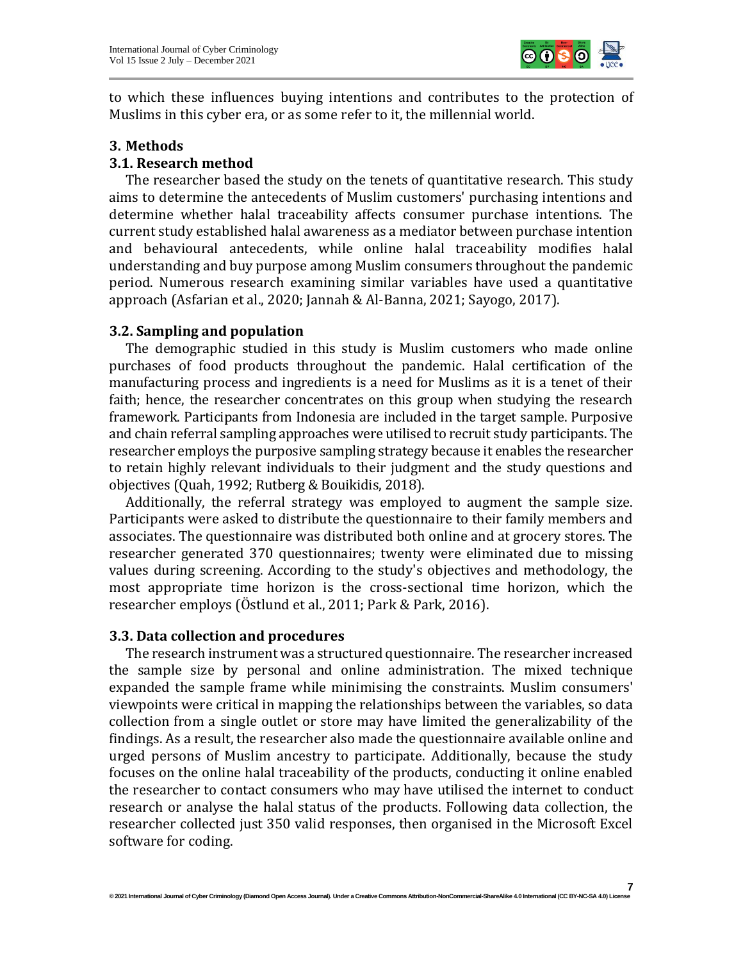

to which these influences buying intentions and contributes to the protection of Muslims in this cyber era, or as some refer to it, the millennial world.

#### **3. Methods**

#### **3.1. Research method**

The researcher based the study on the tenets of quantitative research. This study aims to determine the antecedents of Muslim customers' purchasing intentions and determine whether halal traceability affects consumer purchase intentions. The current study established halal awareness as a mediator between purchase intention and behavioural antecedents, while online halal traceability modifies halal understanding and buy purpose among Muslim consumers throughout the pandemic period. Numerous research examining similar variables have used a quantitative approach (Asfarian et al., 2020; Jannah & Al-Banna, 2021; Sayogo, 2017).

#### **3.2. Sampling and population**

The demographic studied in this study is Muslim customers who made online purchases of food products throughout the pandemic. Halal certification of the manufacturing process and ingredients is a need for Muslims as it is a tenet of their faith; hence, the researcher concentrates on this group when studying the research framework. Participants from Indonesia are included in the target sample. Purposive and chain referral sampling approaches were utilised to recruit study participants. The researcher employs the purposive sampling strategy because it enables the researcher to retain highly relevant individuals to their judgment and the study questions and objectives (Quah, 1992; Rutberg & Bouikidis, 2018).

Additionally, the referral strategy was employed to augment the sample size. Participants were asked to distribute the questionnaire to their family members and associates. The questionnaire was distributed both online and at grocery stores. The researcher generated 370 questionnaires; twenty were eliminated due to missing values during screening. According to the study's objectives and methodology, the most appropriate time horizon is the cross-sectional time horizon, which the researcher employs (Östlund et al., 2011; Park & Park, 2016).

#### **3.3. Data collection and procedures**

The research instrument was a structured questionnaire. The researcher increased the sample size by personal and online administration. The mixed technique expanded the sample frame while minimising the constraints. Muslim consumers' viewpoints were critical in mapping the relationships between the variables, so data collection from a single outlet or store may have limited the generalizability of the findings. As a result, the researcher also made the questionnaire available online and urged persons of Muslim ancestry to participate. Additionally, because the study focuses on the online halal traceability of the products, conducting it online enabled the researcher to contact consumers who may have utilised the internet to conduct research or analyse the halal status of the products. Following data collection, the researcher collected just 350 valid responses, then organised in the Microsoft Excel software for coding.

**7**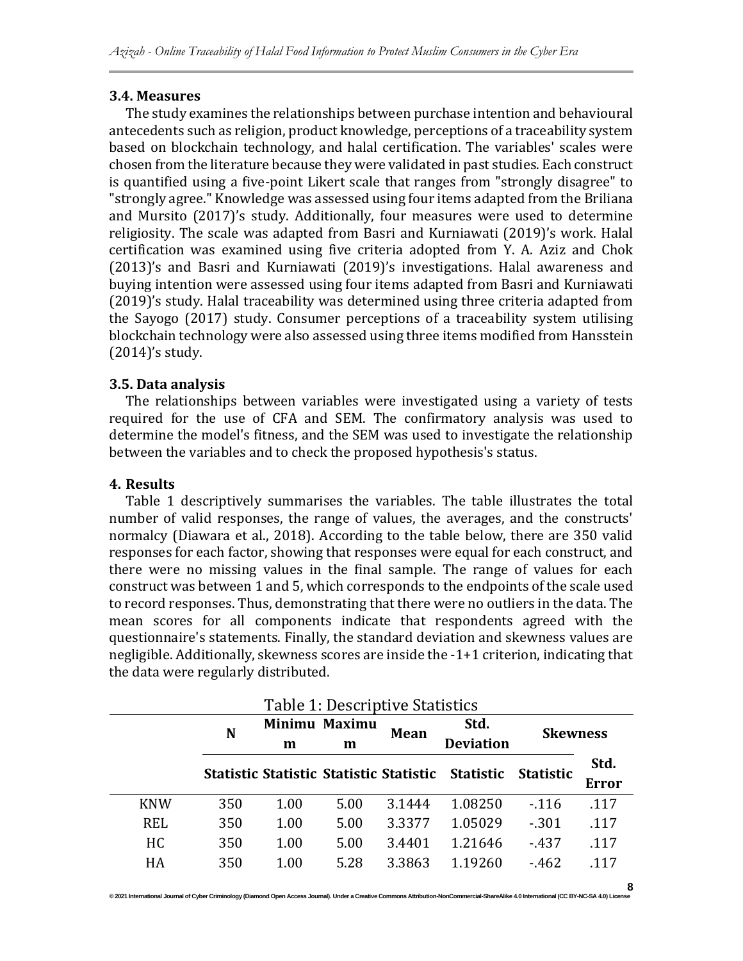## **3.4. Measures**

The study examines the relationships between purchase intention and behavioural antecedents such as religion, product knowledge, perceptions of a traceability system based on blockchain technology, and halal certification. The variables' scales were chosen from the literature because they were validated in past studies. Each construct is quantified using a five-point Likert scale that ranges from "strongly disagree" to "strongly agree." Knowledge was assessed using four items adapted from the Briliana and Mursito (2017)'s study. Additionally, four measures were used to determine religiosity. The scale was adapted from Basri and Kurniawati (2019)'s work. Halal certification was examined using five criteria adopted from Y. A. Aziz and Chok (2013)'s and Basri and Kurniawati (2019)'s investigations. Halal awareness and buying intention were assessed using four items adapted from Basri and Kurniawati (2019)'s study. Halal traceability was determined using three criteria adapted from the Sayogo (2017) study. Consumer perceptions of a traceability system utilising blockchain technology were also assessed using three items modified from Hansstein (2014)'s study.

## **3.5. Data analysis**

The relationships between variables were investigated using a variety of tests required for the use of CFA and SEM. The confirmatory analysis was used to determine the model's fitness, and the SEM was used to investigate the relationship between the variables and to check the proposed hypothesis's status.

## **4. Results**

Table 1 descriptively summarises the variables. The table illustrates the total number of valid responses, the range of values, the averages, and the constructs' normalcy (Diawara et al., 2018). According to the table below, there are 350 valid responses for each factor, showing that responses were equal for each construct, and there were no missing values in the final sample. The range of values for each construct was between 1 and 5, which corresponds to the endpoints of the scale used to record responses. Thus, demonstrating that there were no outliers in the data. The mean scores for all components indicate that respondents agreed with the questionnaire's statements. Finally, the standard deviation and skewness values are negligible. Additionally, skewness scores are inside the -1+1 criterion, indicating that the data were regularly distributed.

| Table 1: Descriptive Statistics |     |                         |      |        |                                                   |                  |                      |  |  |
|---------------------------------|-----|-------------------------|------|--------|---------------------------------------------------|------------------|----------------------|--|--|
|                                 | N   | Minimu Maximu<br>m<br>m |      | Mean   | Std.<br><b>Deviation</b>                          | <b>Skewness</b>  |                      |  |  |
|                                 |     |                         |      |        | Statistic Statistic Statistic Statistic Statistic | <b>Statistic</b> | Std.<br><b>Error</b> |  |  |
| <b>KNW</b>                      | 350 | 1.00                    | 5.00 | 3.1444 | 1.08250                                           | $-116$           | .117                 |  |  |
| <b>REL</b>                      | 350 | 1.00                    | 5.00 | 3.3377 | 1.05029                                           | $-.301$          | .117                 |  |  |
| HC.                             | 350 | 1.00                    | 5.00 | 3.4401 | 1.21646                                           | $-437$           | .117                 |  |  |
| HA                              | 350 | 1.00                    | 5.28 | 3.3863 | 1.19260                                           | $-462$           | 117                  |  |  |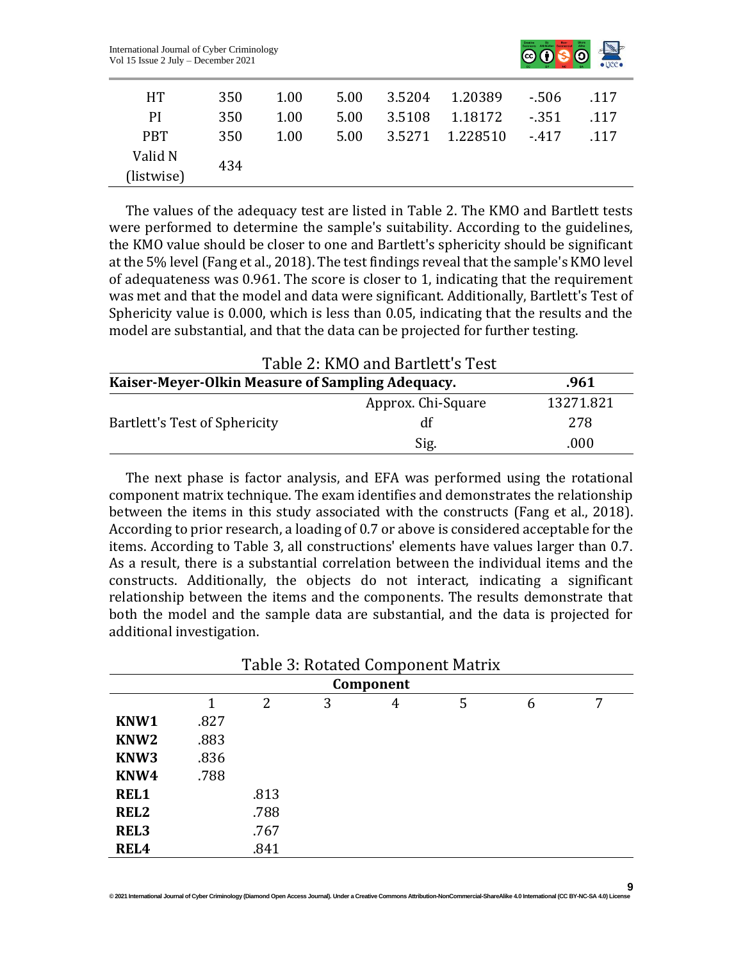

**9**

| HT.                   | 350 | 1.00 | 5.00 | 3.5204 1.20389  | $-.506$ | .117 |
|-----------------------|-----|------|------|-----------------|---------|------|
| <sub>PI</sub>         | 350 | 1.00 | 5.00 | 3.5108 1.18172  | -.351   | .117 |
| <b>PBT</b>            | 350 | 1.00 | 5.00 | 3.5271 1.228510 | $-417$  | -117 |
| Valid N<br>(listwise) | 434 |      |      |                 |         |      |

The values of the adequacy test are listed in Table 2. The KMO and Bartlett tests were performed to determine the sample's suitability. According to the guidelines, the KMO value should be closer to one and Bartlett's sphericity should be significant at the 5% level (Fang et al., 2018). The test findings reveal that the sample's KMO level of adequateness was 0.961. The score is closer to 1, indicating that the requirement was met and that the model and data were significant. Additionally, Bartlett's Test of Sphericity value is 0.000, which is less than 0.05, indicating that the results and the model are substantial, and that the data can be projected for further testing.

| Table 2: KMO and Bartlett's Test                 |                    |           |  |  |  |  |  |
|--------------------------------------------------|--------------------|-----------|--|--|--|--|--|
| Kaiser-Meyer-Olkin Measure of Sampling Adequacy. | .961               |           |  |  |  |  |  |
|                                                  | Approx. Chi-Square | 13271.821 |  |  |  |  |  |
| Bartlett's Test of Sphericity                    | df                 | 278       |  |  |  |  |  |
|                                                  | Sig.               | .000      |  |  |  |  |  |

The next phase is factor analysis, and EFA was performed using the rotational component matrix technique. The exam identifies and demonstrates the relationship between the items in this study associated with the constructs (Fang et al., 2018). According to prior research, a loading of 0.7 or above is considered acceptable for the items. According to Table 3, all constructions' elements have values larger than 0.7. As a result, there is a substantial correlation between the individual items and the constructs. Additionally, the objects do not interact, indicating a significant relationship between the items and the components. The results demonstrate that both the model and the sample data are substantial, and the data is projected for additional investigation.

| Table 3: Rotated Component Matrix |      |      |   |   |   |   |   |  |  |
|-----------------------------------|------|------|---|---|---|---|---|--|--|
| Component                         |      |      |   |   |   |   |   |  |  |
|                                   | 1    | 2    | 3 | 4 | 5 | 6 | 7 |  |  |
| KNW1                              | .827 |      |   |   |   |   |   |  |  |
| KNW <sub>2</sub>                  | .883 |      |   |   |   |   |   |  |  |
| KNW3                              | .836 |      |   |   |   |   |   |  |  |
| KNW4                              | .788 |      |   |   |   |   |   |  |  |
| <b>REL1</b>                       |      | .813 |   |   |   |   |   |  |  |
| REL <sub>2</sub>                  |      | .788 |   |   |   |   |   |  |  |
| REL <sub>3</sub>                  |      | .767 |   |   |   |   |   |  |  |
| REL <sub>4</sub>                  |      | .841 |   |   |   |   |   |  |  |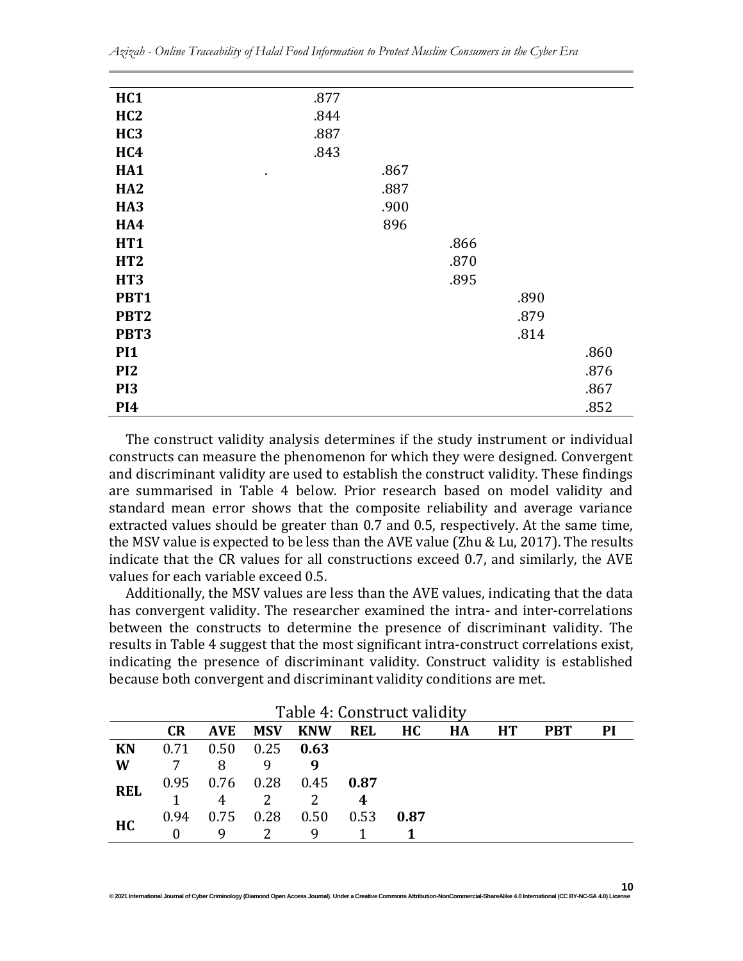| HC1              | .877 |      |      |      |
|------------------|------|------|------|------|
| HC2              | .844 |      |      |      |
| HC <sub>3</sub>  | .887 |      |      |      |
| HC4              | .843 |      |      |      |
| HA1<br>٠         | .867 |      |      |      |
| HA <sub>2</sub>  | .887 |      |      |      |
| HA <sub>3</sub>  | .900 |      |      |      |
| HA4              | 896  |      |      |      |
| HT1              |      | .866 |      |      |
| HT <sub>2</sub>  |      | .870 |      |      |
| HT <sub>3</sub>  |      | .895 |      |      |
| PBT1             |      |      | .890 |      |
| PBT <sub>2</sub> |      |      | .879 |      |
| PBT3             |      |      | .814 |      |
| <b>PI1</b>       |      |      |      | .860 |
| PI <sub>2</sub>  |      |      |      | .876 |
| PI <sub>3</sub>  |      |      |      | .867 |
| PI <sub>4</sub>  |      |      |      | .852 |

The construct validity analysis determines if the study instrument or individual constructs can measure the phenomenon for which they were designed. Convergent and discriminant validity are used to establish the construct validity. These findings are summarised in Table 4 below. Prior research based on model validity and standard mean error shows that the composite reliability and average variance extracted values should be greater than 0.7 and 0.5, respectively. At the same time, the MSV value is expected to be less than the AVE value (Zhu & Lu, 2017). The results indicate that the CR values for all constructions exceed 0.7, and similarly, the AVE values for each variable exceed 0.5.

Additionally, the MSV values are less than the AVE values, indicating that the data has convergent validity. The researcher examined the intra- and inter-correlations between the constructs to determine the presence of discriminant validity. The results in Table 4 suggest that the most significant intra-construct correlations exist, indicating the presence of discriminant validity. Construct validity is established because both convergent and discriminant validity conditions are met.

| Table 4: Construct validity |           |             |                |                     |                  |      |    |           |            |    |
|-----------------------------|-----------|-------------|----------------|---------------------|------------------|------|----|-----------|------------|----|
|                             | <b>CR</b> | <b>AVE</b>  | <b>MSV</b>     | <b>KNW</b>          | <b>REL</b>       | HC   | HA | <b>HT</b> | <b>PBT</b> | PI |
| <b>KN</b>                   | 0.71      | 0.50        | $0.25$ 0.63    |                     |                  |      |    |           |            |    |
| W                           | 7         | 8           |                |                     |                  |      |    |           |            |    |
| <b>REL</b>                  |           |             |                | 0.95 0.76 0.28 0.45 | 0.87             |      |    |           |            |    |
|                             |           | 4           | $\overline{2}$ | $\mathcal{P}$       | $\boldsymbol{4}$ |      |    |           |            |    |
| HC                          | 0.94      | $0.75$ 0.28 |                | 0.50                | 0.53             | 0.87 |    |           |            |    |
|                             |           |             |                | q                   |                  |      |    |           |            |    |

*Azizah - Online Traceability of Halal Food Information to Protect Muslim Consumers in the Cyber Era*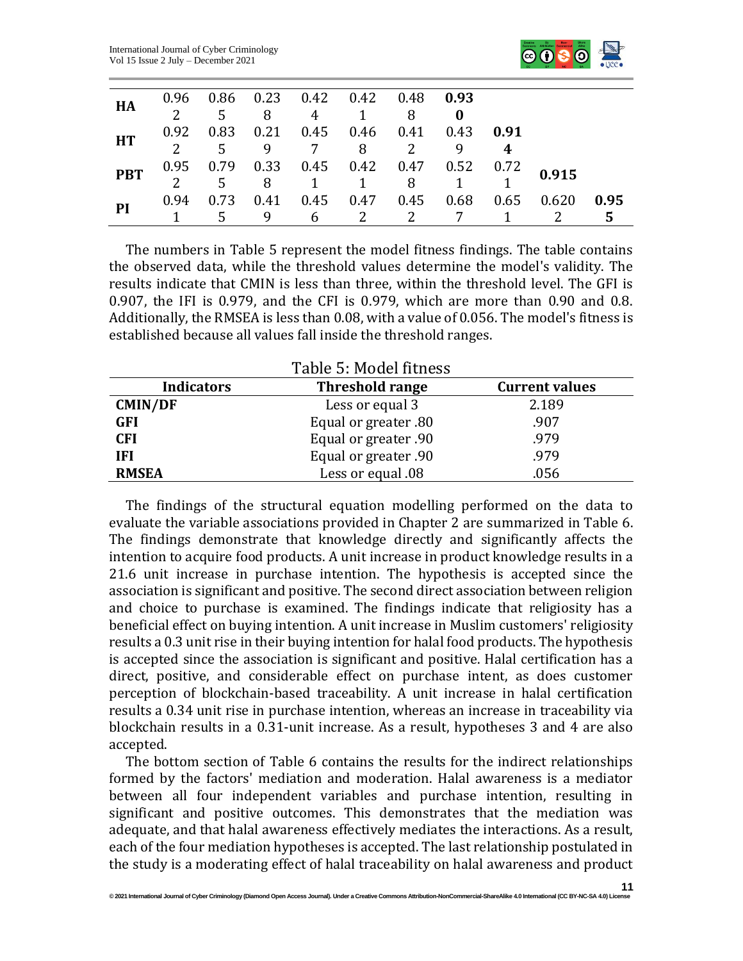

| HA         |  |              | 0.96  0.86  0.23  0.42  0.42  0.48  0.93       |  |                                                                                                                                               |      |
|------------|--|--------------|------------------------------------------------|--|-----------------------------------------------------------------------------------------------------------------------------------------------|------|
|            |  | $5 \qquad 8$ | 4 1 8                                          |  |                                                                                                                                               |      |
| <b>HT</b>  |  |              | 0.92  0.83  0.21  0.45  0.46  0.41  0.43  0.91 |  |                                                                                                                                               |      |
|            |  |              | 5 9 7 8 2                                      |  |                                                                                                                                               |      |
| <b>PBT</b> |  |              |                                                |  |                                                                                                                                               |      |
|            |  |              |                                                |  | $\begin{array}{cccccccc} 0.95 & 0.79 & 0.33 & 0.45 & 0.42 & 0.47 & 0.52 & 0.72 & \textbf{0.915} \\ 2 & 5 & 8 & 1 & 1 & 8 & 1 & 1 \end{array}$ |      |
|            |  |              |                                                |  | 0.94  0.73  0.41  0.45  0.47  0.45  0.68  0.65  0.620                                                                                         | 0.95 |
| PI         |  | - 9          | $6\qquad 2$                                    |  |                                                                                                                                               | 5    |

The numbers in Table 5 represent the model fitness findings. The table contains the observed data, while the threshold values determine the model's validity. The results indicate that CMIN is less than three, within the threshold level. The GFI is 0.907, the IFI is 0.979, and the CFI is 0.979, which are more than 0.90 and 0.8. Additionally, the RMSEA is less than 0.08, with a value of 0.056. The model's fitness is established because all values fall inside the threshold ranges.

| Table 5: Model fitness |                        |                       |  |  |  |  |  |
|------------------------|------------------------|-----------------------|--|--|--|--|--|
| <b>Indicators</b>      | <b>Threshold range</b> | <b>Current values</b> |  |  |  |  |  |
| <b>CMIN/DF</b>         | Less or equal 3        | 2.189                 |  |  |  |  |  |
| <b>GFI</b>             | Equal or greater .80   | .907                  |  |  |  |  |  |
| <b>CFI</b>             | Equal or greater .90   | .979                  |  |  |  |  |  |
| IFI                    | Equal or greater .90   | .979                  |  |  |  |  |  |
| <b>RMSEA</b>           | Less or equal .08      | .056                  |  |  |  |  |  |

The findings of the structural equation modelling performed on the data to evaluate the variable associations provided in Chapter 2 are summarized in Table 6. The findings demonstrate that knowledge directly and significantly affects the intention to acquire food products. A unit increase in product knowledge results in a 21.6 unit increase in purchase intention. The hypothesis is accepted since the association is significant and positive. The second direct association between religion and choice to purchase is examined. The findings indicate that religiosity has a beneficial effect on buying intention. A unit increase in Muslim customers' religiosity results a 0.3 unit rise in their buying intention for halal food products. The hypothesis is accepted since the association is significant and positive. Halal certification has a direct, positive, and considerable effect on purchase intent, as does customer perception of blockchain-based traceability. A unit increase in halal certification results a 0.34 unit rise in purchase intention, whereas an increase in traceability via blockchain results in a 0.31-unit increase. As a result, hypotheses 3 and 4 are also accepted.

The bottom section of Table 6 contains the results for the indirect relationships formed by the factors' mediation and moderation. Halal awareness is a mediator between all four independent variables and purchase intention, resulting in significant and positive outcomes. This demonstrates that the mediation was adequate, and that halal awareness effectively mediates the interactions. As a result, each of the four mediation hypotheses is accepted. The last relationship postulated in the study is a moderating effect of halal traceability on halal awareness and product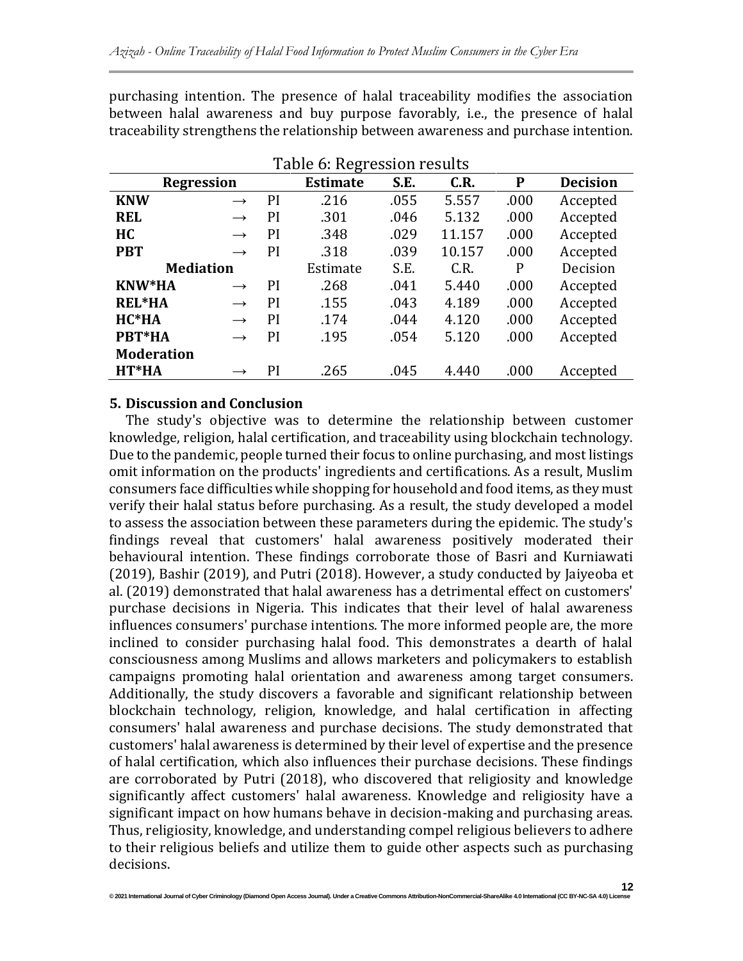purchasing intention. The presence of halal traceability modifies the association between halal awareness and buy purpose favorably, i.e., the presence of halal traceability strengthens the relationship between awareness and purchase intention.

| Table of Regression results |               |          |                 |      |        |          |                 |  |
|-----------------------------|---------------|----------|-----------------|------|--------|----------|-----------------|--|
| <b>Regression</b>           |               |          | <b>Estimate</b> | S.E. | C.R.   | P        | <b>Decision</b> |  |
| <b>KNW</b>                  | $\rightarrow$ | PI       | .216            | .055 | 5.557  | .000     | Accepted        |  |
| <b>REL</b>                  | $\rightarrow$ | PI       | .301            | .046 | 5.132  | .000     | Accepted        |  |
| <b>HC</b>                   | $\rightarrow$ | PI       | .348            | .029 | 11.157 | .000     | Accepted        |  |
| <b>PBT</b>                  | $\rightarrow$ | PI       | .318            | .039 | 10.157 | .000     | Accepted        |  |
| <b>Mediation</b>            |               | Estimate | S.E.            | C.R. | P      | Decision |                 |  |
| <b>KNW*HA</b>               | $\rightarrow$ | PI       | .268            | .041 | 5.440  | .000     | Accepted        |  |
| <b>REL*HA</b>               | $\rightarrow$ | PI       | .155            | .043 | 4.189  | .000     | Accepted        |  |
| $HC*HA$                     | $\rightarrow$ | PI       | .174            | .044 | 4.120  | .000     | Accepted        |  |
| PBT*HA                      | $\rightarrow$ | PI       | .195            | .054 | 5.120  | .000     | Accepted        |  |
| <b>Moderation</b>           |               |          |                 |      |        |          |                 |  |
| HT*HA                       | $\rightarrow$ | PI       | .265            | .045 | 4.440  | .000     | Accepted        |  |

## Table 6: Regression results

#### **5. Discussion and Conclusion**

The study's objective was to determine the relationship between customer knowledge, religion, halal certification, and traceability using blockchain technology. Due to the pandemic, people turned their focus to online purchasing, and most listings omit information on the products' ingredients and certifications. As a result, Muslim consumers face difficulties while shopping for household and food items, as they must verify their halal status before purchasing. As a result, the study developed a model to assess the association between these parameters during the epidemic. The study's findings reveal that customers' halal awareness positively moderated their behavioural intention. These findings corroborate those of Basri and Kurniawati (2019), Bashir (2019), and Putri (2018). However, a study conducted by Jaiyeoba et al. (2019) demonstrated that halal awareness has a detrimental effect on customers' purchase decisions in Nigeria. This indicates that their level of halal awareness influences consumers' purchase intentions. The more informed people are, the more inclined to consider purchasing halal food. This demonstrates a dearth of halal consciousness among Muslims and allows marketers and policymakers to establish campaigns promoting halal orientation and awareness among target consumers. Additionally, the study discovers a favorable and significant relationship between blockchain technology, religion, knowledge, and halal certification in affecting consumers' halal awareness and purchase decisions. The study demonstrated that customers' halal awareness is determined by their level of expertise and the presence of halal certification, which also influences their purchase decisions. These findings are corroborated by Putri (2018), who discovered that religiosity and knowledge significantly affect customers' halal awareness. Knowledge and religiosity have a significant impact on how humans behave in decision-making and purchasing areas. Thus, religiosity, knowledge, and understanding compel religious believers to adhere to their religious beliefs and utilize them to guide other aspects such as purchasing decisions.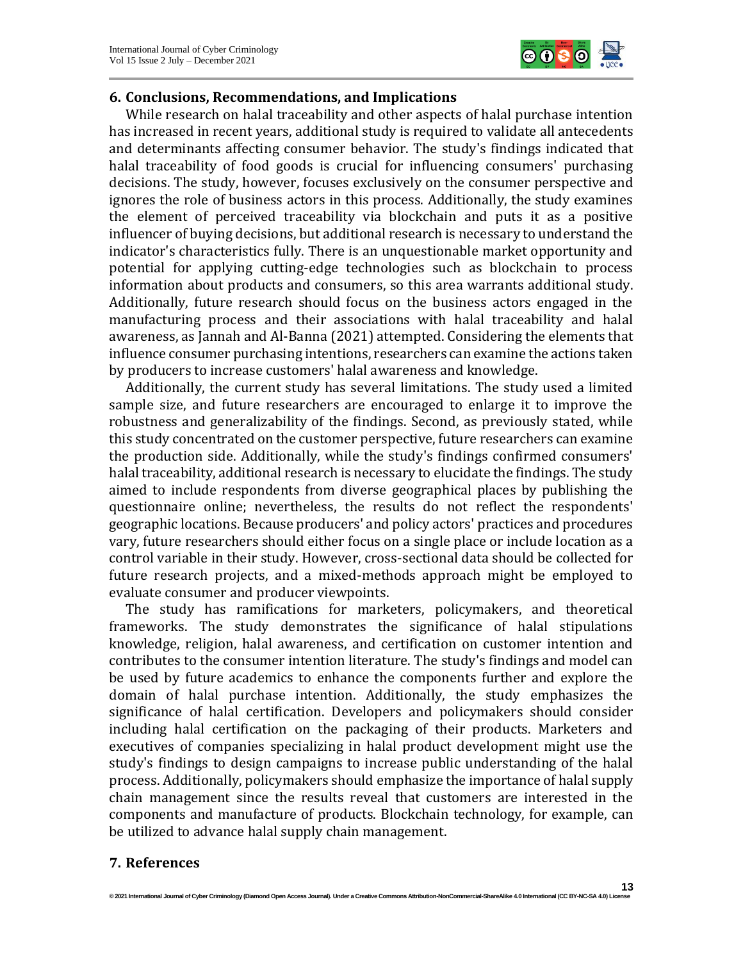

## **6. Conclusions, Recommendations, and Implications**

While research on halal traceability and other aspects of halal purchase intention has increased in recent years, additional study is required to validate all antecedents and determinants affecting consumer behavior. The study's findings indicated that halal traceability of food goods is crucial for influencing consumers' purchasing decisions. The study, however, focuses exclusively on the consumer perspective and ignores the role of business actors in this process. Additionally, the study examines the element of perceived traceability via blockchain and puts it as a positive influencer of buying decisions, but additional research is necessary to understand the indicator's characteristics fully. There is an unquestionable market opportunity and potential for applying cutting-edge technologies such as blockchain to process information about products and consumers, so this area warrants additional study. Additionally, future research should focus on the business actors engaged in the manufacturing process and their associations with halal traceability and halal awareness, as Jannah and Al-Banna (2021) attempted. Considering the elements that influence consumer purchasing intentions, researchers can examine the actions taken by producers to increase customers' halal awareness and knowledge.

Additionally, the current study has several limitations. The study used a limited sample size, and future researchers are encouraged to enlarge it to improve the robustness and generalizability of the findings. Second, as previously stated, while this study concentrated on the customer perspective, future researchers can examine the production side. Additionally, while the study's findings confirmed consumers' halal traceability, additional research is necessary to elucidate the findings. The study aimed to include respondents from diverse geographical places by publishing the questionnaire online; nevertheless, the results do not reflect the respondents' geographic locations. Because producers' and policy actors' practices and procedures vary, future researchers should either focus on a single place or include location as a control variable in their study. However, cross-sectional data should be collected for future research projects, and a mixed-methods approach might be employed to evaluate consumer and producer viewpoints.

The study has ramifications for marketers, policymakers, and theoretical frameworks. The study demonstrates the significance of halal stipulations knowledge, religion, halal awareness, and certification on customer intention and contributes to the consumer intention literature. The study's findings and model can be used by future academics to enhance the components further and explore the domain of halal purchase intention. Additionally, the study emphasizes the significance of halal certification. Developers and policymakers should consider including halal certification on the packaging of their products. Marketers and executives of companies specializing in halal product development might use the study's findings to design campaigns to increase public understanding of the halal process. Additionally, policymakers should emphasize the importance of halal supply chain management since the results reveal that customers are interested in the components and manufacture of products. Blockchain technology, for example, can be utilized to advance halal supply chain management.

## **7. References**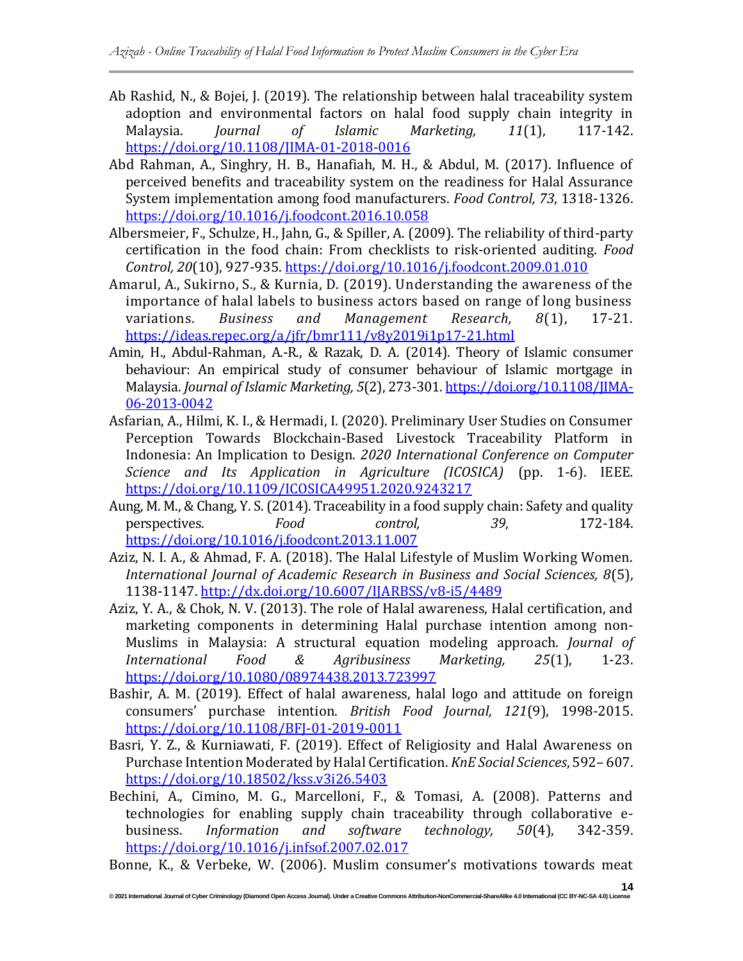- Ab Rashid, N., & Bojei, J. (2019). The relationship between halal traceability system adoption and environmental factors on halal food supply chain integrity in Malaysia. *Journal of Islamic Marketing, 11*(1), 117-142. <https://doi.org/10.1108/JIMA-01-2018-0016>
- Abd Rahman, A., Singhry, H. B., Hanafiah, M. H., & Abdul, M. (2017). Influence of perceived benefits and traceability system on the readiness for Halal Assurance System implementation among food manufacturers. *Food Control, 73*, 1318-1326. <https://doi.org/10.1016/j.foodcont.2016.10.058>
- Albersmeier, F., Schulze, H., Jahn, G., & Spiller, A. (2009). The reliability of third-party certification in the food chain: From checklists to risk-oriented auditing. *Food Control, 20*(10), 927-935.<https://doi.org/10.1016/j.foodcont.2009.01.010>
- Amarul, A., Sukirno, S., & Kurnia, D. (2019). Understanding the awareness of the importance of halal labels to business actors based on range of long business variations. *Business and Management Research, 8*(1), 17-21. <https://ideas.repec.org/a/jfr/bmr111/v8y2019i1p17-21.html>
- Amin, H., Abdul-Rahman, A.-R., & Razak, D. A. (2014). Theory of Islamic consumer behaviour: An empirical study of consumer behaviour of Islamic mortgage in Malaysia. *Journal of Islamic Marketing, 5*(2), 273-301[. https://doi.org/10.1108/JIMA-](https://doi.org/10.1108/JIMA-06-2013-0042)[06-2013-0042](https://doi.org/10.1108/JIMA-06-2013-0042)
- Asfarian, A., Hilmi, K. I., & Hermadi, I. (2020). Preliminary User Studies on Consumer Perception Towards Blockchain-Based Livestock Traceability Platform in Indonesia: An Implication to Design. *2020 International Conference on Computer Science and Its Application in Agriculture (ICOSICA)* (pp. 1-6). IEEE*.* <https://doi.org/10.1109/ICOSICA49951.2020.9243217>
- Aung, M. M., & Chang, Y. S. (2014). Traceability in a food supply chain: Safety and quality perspectives. *Food control, 39*, 172-184. <https://doi.org/10.1016/j.foodcont.2013.11.007>
- Aziz, N. I. A., & Ahmad, F. A. (2018). The Halal Lifestyle of Muslim Working Women. *International Journal of Academic Research in Business and Social Sciences, 8*(5), 1138-1147[. http://dx.doi.org/10.6007/IJARBSS/v8-i5/4489](http://dx.doi.org/10.6007/IJARBSS/v8-i5/4489)
- Aziz, Y. A., & Chok, N. V. (2013). The role of Halal awareness, Halal certification, and marketing components in determining Halal purchase intention among non-Muslims in Malaysia: A structural equation modeling approach. *Journal of International Food & Agribusiness Marketing, 25*(1), 1-23. <https://doi.org/10.1080/08974438.2013.723997>
- Bashir, A. M. (2019). Effect of halal awareness, halal logo and attitude on foreign consumers' purchase intention. *British Food Journal, 121*(9), 1998-2015. <https://doi.org/10.1108/BFJ-01-2019-0011>
- Basri, Y. Z., & Kurniawati, F. (2019). Effect of Religiosity and Halal Awareness on Purchase Intention Moderated by Halal Certification. *KnE Social Sciences*, 592– 607. <https://doi.org/10.18502/kss.v3i26.5403>
- Bechini, A., Cimino, M. G., Marcelloni, F., & Tomasi, A. (2008). Patterns and technologies for enabling supply chain traceability through collaborative ebusiness. *Information and software technology, 50*(4), 342-359. <https://doi.org/10.1016/j.infsof.2007.02.017>

Bonne, K., & Verbeke, W. (2006). Muslim consumer's motivations towards meat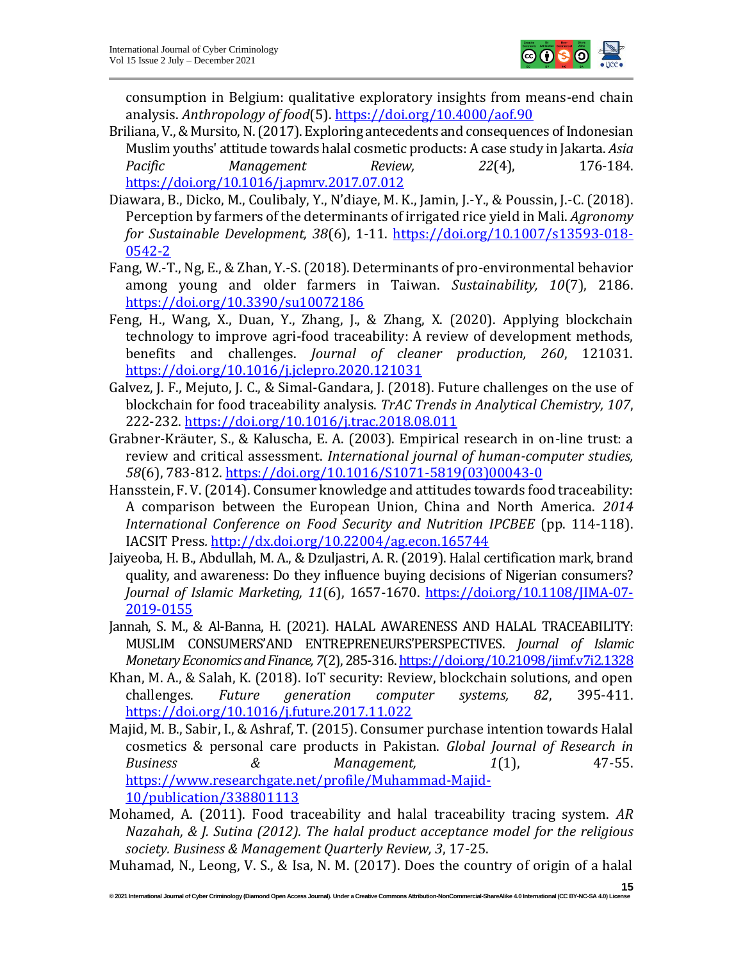

consumption in Belgium: qualitative exploratory insights from means-end chain analysis. *Anthropology of food*(5).<https://doi.org/10.4000/aof.90>

- Briliana, V., & Mursito, N. (2017). Exploring antecedents and consequences of Indonesian Muslim youths' attitude towards halal cosmetic products: A case study in Jakarta. *Asia*  Pacific Management Review, 22(4), 176-184. <https://doi.org/10.1016/j.apmrv.2017.07.012>
- Diawara, B., Dicko, M., Coulibaly, Y., N'diaye, M. K., Jamin, J.-Y., & Poussin, J.-C. (2018). Perception by farmers of the determinants of irrigated rice yield in Mali. *Agronomy for Sustainable Development, 38*(6), 1-11. [https://doi.org/10.1007/s13593-018-](https://doi.org/10.1007/s13593-018-0542-2) [0542-2](https://doi.org/10.1007/s13593-018-0542-2)
- Fang, W.-T., Ng, E., & Zhan, Y.-S. (2018). Determinants of pro-environmental behavior among young and older farmers in Taiwan. *Sustainability, 10*(7), 2186. <https://doi.org/10.3390/su10072186>
- Feng, H., Wang, X., Duan, Y., Zhang, J., & Zhang, X. (2020). Applying blockchain technology to improve agri-food traceability: A review of development methods, benefits and challenges. *Journal of cleaner production, 260*, 121031. <https://doi.org/10.1016/j.jclepro.2020.121031>
- Galvez, J. F., Mejuto, J. C., & Simal-Gandara, J. (2018). Future challenges on the use of blockchain for food traceability analysis. *TrAC Trends in Analytical Chemistry, 107*, 222-232.<https://doi.org/10.1016/j.trac.2018.08.011>
- Grabner-Kräuter, S., & Kaluscha, E. A. (2003). Empirical research in on-line trust: a review and critical assessment. *International journal of human-computer studies, 58*(6), 783-812. [https://doi.org/10.1016/S1071-5819\(03\)00043-0](https://doi.org/10.1016/S1071-5819(03)00043-0)
- Hansstein, F. V. (2014). Consumer knowledge and attitudes towards food traceability: A comparison between the European Union, China and North America. *2014 International Conference on Food Security and Nutrition IPCBEE* (pp. 114-118). IACSIT Press*.* <http://dx.doi.org/10.22004/ag.econ.165744>
- Jaiyeoba, H. B., Abdullah, M. A., & Dzuljastri, A. R. (2019). Halal certification mark, brand quality, and awareness: Do they influence buying decisions of Nigerian consumers? *Journal of Islamic Marketing, 11*(6), 1657-1670. [https://doi.org/10.1108/JIMA-07-](https://doi.org/10.1108/JIMA-07-2019-0155) [2019-0155](https://doi.org/10.1108/JIMA-07-2019-0155)
- Jannah, S. M., & Al-Banna, H. (2021). HALAL AWARENESS AND HALAL TRACEABILITY: MUSLIM CONSUMERS'AND ENTREPRENEURS'PERSPECTIVES. *Journal of Islamic Monetary Economics and Finance, 7*(2), 285-316[. https://doi.org/10.21098/jimf.v7i2.1328](https://doi.org/10.21098/jimf.v7i2.1328)
- Khan, M. A., & Salah, K. (2018). IoT security: Review, blockchain solutions, and open challenges. *Future generation computer systems, 82*, 395-411. <https://doi.org/10.1016/j.future.2017.11.022>
- Majid, M. B., Sabir, I., & Ashraf, T. (2015). Consumer purchase intention towards Halal cosmetics & personal care products in Pakistan. *Global Journal of Research in Business & Management, 1*(1), 47-55. [https://www.researchgate.net/profile/Muhammad-Majid-](https://www.researchgate.net/profile/Muhammad-Majid-10/publication/338801113)[10/publication/338801113](https://www.researchgate.net/profile/Muhammad-Majid-10/publication/338801113)
- Mohamed, A. (2011). Food traceability and halal traceability tracing system. *AR Nazahah, & J. Sutina (2012). The halal product acceptance model for the religious society. Business & Management Quarterly Review, 3*, 17-25.
- Muhamad, N., Leong, V. S., & Isa, N. M. (2017). Does the country of origin of a halal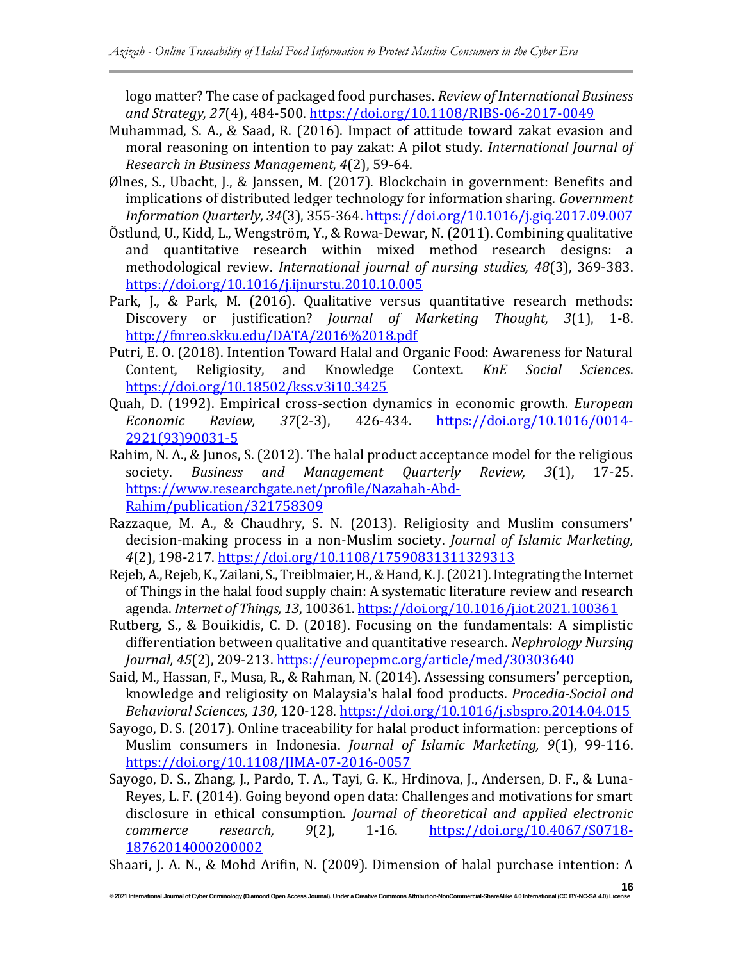logo matter? The case of packaged food purchases. *Review of International Business and Strategy, 27*(4), 484-500.<https://doi.org/10.1108/RIBS-06-2017-0049>

- Muhammad, S. A., & Saad, R. (2016). Impact of attitude toward zakat evasion and moral reasoning on intention to pay zakat: A pilot study. *International Journal of Research in Business Management, 4*(2), 59-64.
- Ølnes, S., Ubacht, J., & Janssen, M. (2017). Blockchain in government: Benefits and implications of distributed ledger technology for information sharing. *Government Information Quarterly, 34*(3), 355-364[. https://doi.org/10.1016/j.giq.2017.09.007](https://doi.org/10.1016/j.giq.2017.09.007)
- Östlund, U., Kidd, L., Wengström, Y., & Rowa-Dewar, N. (2011). Combining qualitative and quantitative research within mixed method research designs: a methodological review. *International journal of nursing studies, 48*(3), 369-383. <https://doi.org/10.1016/j.ijnurstu.2010.10.005>
- Park, J., & Park, M. (2016). Qualitative versus quantitative research methods: Discovery or justification? *Journal of Marketing Thought, 3*(1), 1-8. <http://fmreo.skku.edu/DATA/2016%2018.pdf>
- Putri, E. O. (2018). Intention Toward Halal and Organic Food: Awareness for Natural Content, Religiosity, and Knowledge Context. *KnE Social Sciences*. <https://doi.org/10.18502/kss.v3i10.3425>
- Quah, D. (1992). Empirical cross-section dynamics in economic growth. *European Economic Review, 37*(2-3), 426-434. [https://doi.org/10.1016/0014-](https://doi.org/10.1016/0014-2921(93)90031-5) [2921\(93\)90031-5](https://doi.org/10.1016/0014-2921(93)90031-5)
- Rahim, N. A., & Junos, S. (2012). The halal product acceptance model for the religious society. *Business and Management Quarterly Review, 3*(1), 17-25. [https://www.researchgate.net/profile/Nazahah-Abd-](https://www.researchgate.net/profile/Nazahah-Abd-Rahim/publication/321758309)[Rahim/publication/321758309](https://www.researchgate.net/profile/Nazahah-Abd-Rahim/publication/321758309)
- Razzaque, M. A., & Chaudhry, S. N. (2013). Religiosity and Muslim consumers' decision-making process in a non-Muslim society. *Journal of Islamic Marketing, 4*(2), 198-217[. https://doi.org/10.1108/17590831311329313](https://doi.org/10.1108/17590831311329313)
- Rejeb, A., Rejeb, K., Zailani, S., Treiblmaier, H., & Hand, K. J. (2021). Integrating the Internet of Things in the halal food supply chain: A systematic literature review and research agenda. *Internet of Things, 13*, 100361[. https://doi.org/10.1016/j.iot.2021.100361](https://doi.org/10.1016/j.iot.2021.100361)
- Rutberg, S., & Bouikidis, C. D. (2018). Focusing on the fundamentals: A simplistic differentiation between qualitative and quantitative research. *Nephrology Nursing Journal, 45*(2), 209-213.<https://europepmc.org/article/med/30303640>
- Said, M., Hassan, F., Musa, R., & Rahman, N. (2014). Assessing consumers' perception, knowledge and religiosity on Malaysia's halal food products. *Procedia-Social and Behavioral Sciences, 130*, 120-128.<https://doi.org/10.1016/j.sbspro.2014.04.015>
- Sayogo, D. S. (2017). Online traceability for halal product information: perceptions of Muslim consumers in Indonesia. *Journal of Islamic Marketing, 9*(1), 99-116. <https://doi.org/10.1108/JIMA-07-2016-0057>
- Sayogo, D. S., Zhang, J., Pardo, T. A., Tayi, G. K., Hrdinova, J., Andersen, D. F., & Luna-Reyes, L. F. (2014). Going beyond open data: Challenges and motivations for smart disclosure in ethical consumption. *Journal of theoretical and applied electronic commerce research, 9*(2), 1-16. [https://doi.org/10.4067/S0718-](https://doi.org/10.4067/S0718-18762014000200002) [18762014000200002](https://doi.org/10.4067/S0718-18762014000200002)

Shaari, J. A. N., & Mohd Arifin, N. (2009). Dimension of halal purchase intention: A